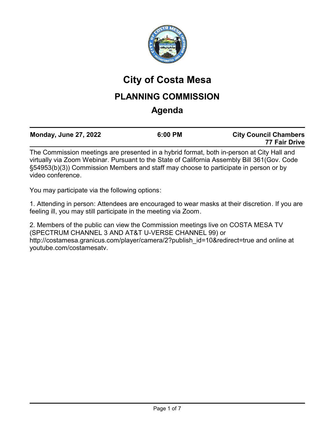

# **City of Costa Mesa**

## **PLANNING COMMISSION**

## **Agenda**

|              |  | <b>Monday, June 27, 2022</b> |  | 6:00 PM |  | <b>City Council Chambers</b><br>77 Fair Drive |
|--------------|--|------------------------------|--|---------|--|-----------------------------------------------|
| $\mathbf{r}$ |  |                              |  |         |  | $\sim$ $\sim$ $\sim$ $\sim$ $\sim$ $\sim$     |

The Commission meetings are presented in a hybrid format, both in-person at City Hall and virtually via Zoom Webinar. Pursuant to the State of California Assembly Bill 361(Gov. Code §54953(b)(3)) Commission Members and staff may choose to participate in person or by video conference.

You may participate via the following options:

1. Attending in person: Attendees are encouraged to wear masks at their discretion. If you are feeling ill, you may still participate in the meeting via Zoom.

2. Members of the public can view the Commission meetings live on COSTA MESA TV (SPECTRUM CHANNEL 3 AND AT&T U-VERSE CHANNEL 99) or http://costamesa.granicus.com/player/camera/2?publish\_id=10&redirect=true and online at youtube.com/costamesatv.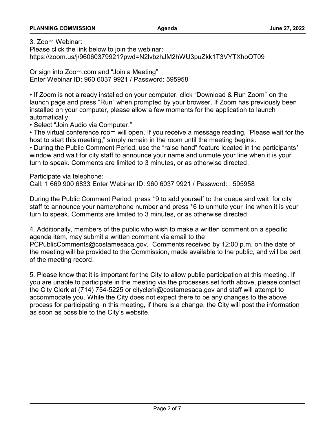3. Zoom Webinar:

Please click the link below to join the webinar: https://zoom.us/j/96060379921?pwd=N2lvbzhJM2hWU3puZkk1T3VYTXhoQT09

Or sign into Zoom.com and "Join a Meeting" Enter Webinar ID: 960 6037 9921 / Password: 595958

• If Zoom is not already installed on your computer, click "Download & Run Zoom" on the launch page and press "Run" when prompted by your browser. If Zoom has previously been installed on your computer, please allow a few moments for the application to launch automatically.

• Select "Join Audio via Computer."

• The virtual conference room will open. If you receive a message reading, "Please wait for the host to start this meeting," simply remain in the room until the meeting begins.

• During the Public Comment Period, use the "raise hand" feature located in the participants' window and wait for city staff to announce your name and unmute your line when it is your turn to speak. Comments are limited to 3 minutes, or as otherwise directed.

Participate via telephone:

Call: 1 669 900 6833 Enter Webinar ID: 960 6037 9921 / Password: : 595958

During the Public Comment Period, press \*9 to add yourself to the queue and wait for city staff to announce your name/phone number and press \*6 to unmute your line when it is your turn to speak. Comments are limited to 3 minutes, or as otherwise directed.

4. Additionally, members of the public who wish to make a written comment on a specific agenda item, may submit a written comment via email to the

PCPublicComments@costamesaca.gov. Comments received by 12:00 p.m. on the date of the meeting will be provided to the Commission, made available to the public, and will be part of the meeting record.

5. Please know that it is important for the City to allow public participation at this meeting. If you are unable to participate in the meeting via the processes set forth above, please contact the City Clerk at (714) 754-5225 or cityclerk@costamesaca.gov and staff will attempt to accommodate you. While the City does not expect there to be any changes to the above process for participating in this meeting, if there is a change, the City will post the information as soon as possible to the City's website.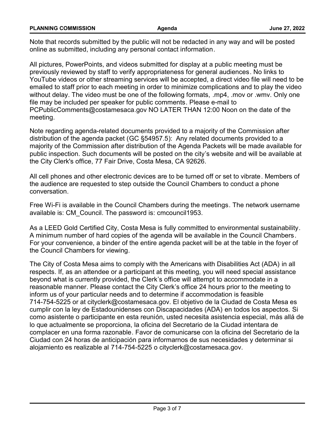| <b>PLANNING COMMISSION</b> | Aqenda | June 27, 2022 |
|----------------------------|--------|---------------|
|                            |        |               |

Note that records submitted by the public will not be redacted in any way and will be posted online as submitted, including any personal contact information.

All pictures, PowerPoints, and videos submitted for display at a public meeting must be previously reviewed by staff to verify appropriateness for general audiences. No links to YouTube videos or other streaming services will be accepted, a direct video file will need to be emailed to staff prior to each meeting in order to minimize complications and to play the video without delay. The video must be one of the following formats, .mp4, .mov or .wmv. Only one file may be included per speaker for public comments. Please e-mail to PCPublicComments@costamesaca.gov NO LATER THAN 12:00 Noon on the date of the meeting.

Note regarding agenda-related documents provided to a majority of the Commission after distribution of the agenda packet (GC §54957.5): Any related documents provided to a majority of the Commission after distribution of the Agenda Packets will be made available for public inspection. Such documents will be posted on the city's website and will be available at the City Clerk's office, 77 Fair Drive, Costa Mesa, CA 92626.

All cell phones and other electronic devices are to be turned off or set to vibrate. Members of the audience are requested to step outside the Council Chambers to conduct a phone conversation.

Free Wi-Fi is available in the Council Chambers during the meetings. The network username available is: CM\_Council. The password is: cmcouncil1953.

As a LEED Gold Certified City, Costa Mesa is fully committed to environmental sustainability. A minimum number of hard copies of the agenda will be available in the Council Chambers. For your convenience, a binder of the entire agenda packet will be at the table in the foyer of the Council Chambers for viewing.

The City of Costa Mesa aims to comply with the Americans with Disabilities Act (ADA) in all respects. If, as an attendee or a participant at this meeting, you will need special assistance beyond what is currently provided, the Clerk's office will attempt to accommodate in a reasonable manner. Please contact the City Clerk's office 24 hours prior to the meeting to inform us of your particular needs and to determine if accommodation is feasible 714-754-5225 or at cityclerk@costamesaca.gov. El objetivo de la Ciudad de Costa Mesa es cumplir con la ley de Estadounidenses con Discapacidades (ADA) en todos los aspectos. Si como asistente o participante en esta reunión, usted necesita asistencia especial, más allá de lo que actualmente se proporciona, la oficina del Secretario de la Ciudad intentara de complacer en una forma razonable. Favor de comunicarse con la oficina del Secretario de la Ciudad con 24 horas de anticipación para informarnos de sus necesidades y determinar si alojamiento es realizable al 714-754-5225 o cityclerk@costamesaca.gov.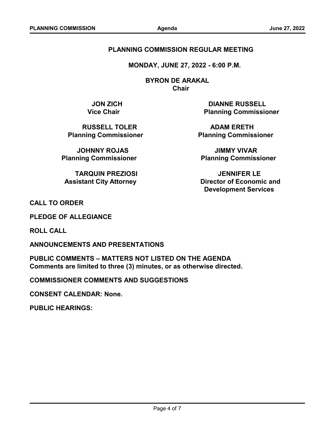#### **PLANNING COMMISSION REGULAR MEETING**

 **MONDAY, JUNE 27, 2022 - 6:00 P.M.**

 **BYRON DE ARAKAL Chair**

**RUSSELL TOLER ADAM ERETH** 

**JOHNNY ROJAS JIMMY VIVAR**

**TARQUIN PREZIOSI JENNIFER LE**

**JON ZICH DIANNE RUSSELL Vice Chair Commissioner Planning Commissioner** 

**Planning Commissioner Commissioner Relanning Commissioner** 

**Planning Commissioner Commissioner Relanning Commissioner** 

 **Assistant City Attorney Community Community Assistant City Attorney Community Community Director of Economic and Development Services**

**CALL TO ORDER**

**PLEDGE OF ALLEGIANCE**

**ROLL CALL**

**ANNOUNCEMENTS AND PRESENTATIONS**

**PUBLIC COMMENTS – MATTERS NOT LISTED ON THE AGENDA Comments are limited to three (3) minutes, or as otherwise directed.**

**COMMISSIONER COMMENTS AND SUGGESTIONS**

**CONSENT CALENDAR: None.**

**PUBLIC HEARINGS:**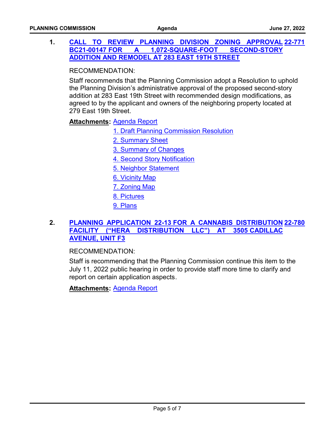### **1. [CALL TO REVIEW PLANNING DIVISION ZONING APPROVAL](http://costamesa.legistar.com/gateway.aspx?m=l&id=/matter.aspx?key=1875) [22-771](http://costamesa.legistar.com/gateway.aspx?m=l&id=/matter.aspx?key=1875) BC21-00147 FOR A 1,072-SQUARE-FOOT SECOND-STORY ADDITION AND REMODEL AT 283 EAST 19TH STREET**

RECOMMENDATION:

Staff recommends that the Planning Commission adopt a Resolution to uphold the Planning Division's administrative approval of the proposed second-story addition at 283 East 19th Street with recommended design modifications, as agreed to by the applicant and owners of the neighboring property located at 279 East 19th Street.

<u>Attachments</u>: <u>[Agenda Report](http://costamesa.legistar.com/gateway.aspx?M=F&ID=1c01a7e9-24af-40c0-b30b-ce0e3cea99ef.pdf)</u>

- [1. Draft Planning Commission Resolution](http://costamesa.legistar.com/gateway.aspx?M=F&ID=75eb2a2c-e8dc-4818-b045-5047cf0c4086.pdf)
- [2. Summary Sheet](http://costamesa.legistar.com/gateway.aspx?M=F&ID=9a725a07-1168-4dc8-a19d-cc9ea79bca87.pdf)
- [3. Summary of Changes](http://costamesa.legistar.com/gateway.aspx?M=F&ID=5b1d3e2c-dda6-47be-923e-443a4579f258.pdf)
- [4. Second Story Notification](http://costamesa.legistar.com/gateway.aspx?M=F&ID=5b4890f4-c1ae-4cbb-8326-d9f43e43426d.pdf)
- [5. Neighbor Statement](http://costamesa.legistar.com/gateway.aspx?M=F&ID=90eb5c63-f258-430e-ae67-dde806d2434d.pdf)
- [6. Vicinity Map](http://costamesa.legistar.com/gateway.aspx?M=F&ID=89055996-e49c-4d95-a44e-51e3b10c45f0.pdf)
- [7. Zoning Map](http://costamesa.legistar.com/gateway.aspx?M=F&ID=e580b34a-6eb4-4d0d-8764-eac6b5d52f31.pdf)
- [8. Pictures](http://costamesa.legistar.com/gateway.aspx?M=F&ID=38beaee0-cf0e-4f1e-888e-0eb0335216a5.pdf)
- [9. Plans](http://costamesa.legistar.com/gateway.aspx?M=F&ID=077dd376-1e0d-4b6d-ba4a-5ce321d7b52a.pdf)

### **2. [PLANNING APPLICATION 22-13 FOR A CANNABIS DISTRIBUTION](http://costamesa.legistar.com/gateway.aspx?m=l&id=/matter.aspx?key=1884) [22-780](http://costamesa.legistar.com/gateway.aspx?m=l&id=/matter.aspx?key=1884) FACILITY ("HERA DISTRIBUTION LLC") AT 3505 CADILLAC AVENUE, UNIT F3**

#### RECOMMENDATION:

Staff is recommending that the Planning Commission continue this item to the July 11, 2022 public hearing in order to provide staff more time to clarify and report on certain application aspects.

**Attachments:** [Agenda Report](http://costamesa.legistar.com/gateway.aspx?M=F&ID=404223b0-fad2-41c7-aca8-7d365eb58f56.pdf)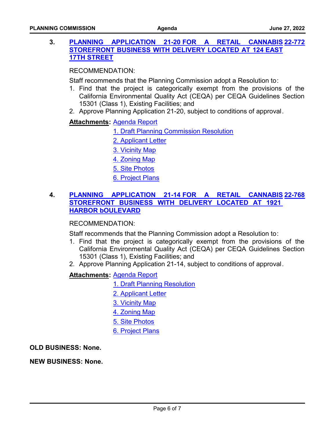#### **3. PLANNING APPLICATION 21-20 FOR A RETAIL [STOREFRONT BUSINESS WITH DELIVERY LOCATED AT 124 EAST](http://costamesa.legistar.com/gateway.aspx?m=l&id=/matter.aspx?key=1876) 17TH STREET [22-772](http://costamesa.legistar.com/gateway.aspx?m=l&id=/matter.aspx?key=1876)**

RECOMMENDATION:

Staff recommends that the Planning Commission adopt a Resolution to:

- 1. Find that the project is categorically exempt from the provisions of the California Environmental Quality Act (CEQA) per CEQA Guidelines Section 15301 (Class 1), Existing Facilities; and
- 2. Approve Planning Application 21-20, subject to conditions of approval.

### <u> Attachments</u>: <u>[Agenda Report](http://costamesa.legistar.com/gateway.aspx?M=F&ID=03736229-59ad-42ce-8fb0-e36b6df334af.pdf)</u>

- [1. Draft Planning Commission Resolution](http://costamesa.legistar.com/gateway.aspx?M=F&ID=5bd37e39-ac58-4c8d-9779-44b2153c5556.pdf)
- [2. Applicant Letter](http://costamesa.legistar.com/gateway.aspx?M=F&ID=c8ad394a-c22e-4770-94cc-3e35a68c2437.pdf)
- [3. Vicinity Map](http://costamesa.legistar.com/gateway.aspx?M=F&ID=16775efc-c973-43a1-a6ae-78795166fb8c.pdf)
- [4. Zoning Map](http://costamesa.legistar.com/gateway.aspx?M=F&ID=cb4dc926-14d4-4f46-b384-416d31ec8db8.pdf)
- [5. Site Photos](http://costamesa.legistar.com/gateway.aspx?M=F&ID=ab08addd-258e-42e0-b06a-261c1a53a0ef.pdf)
- [6. Project Plans](http://costamesa.legistar.com/gateway.aspx?M=F&ID=fa89402d-73a0-4822-b11a-c81a1467b1c6.pdf)

#### **4. PLANNING APPLICATION 21-14 FOR A RETAIL CANNABIS [STOREFRONT BUSINESS WITH DELIVERY LOCATED AT 1921](http://costamesa.legistar.com/gateway.aspx?m=l&id=/matter.aspx?key=1872)  HARBOR bOULEVARD [22-768](http://costamesa.legistar.com/gateway.aspx?m=l&id=/matter.aspx?key=1872)**

#### RECOMMENDATION:

Staff recommends that the Planning Commission adopt a Resolution to:

- 1. Find that the project is categorically exempt from the provisions of the California Environmental Quality Act (CEQA) per CEQA Guidelines Section 15301 (Class 1), Existing Facilities; and
- 2. Approve Planning Application 21-14, subject to conditions of approval.

### <u> Attachments</u>: <u>[Agenda Report](http://costamesa.legistar.com/gateway.aspx?M=F&ID=3e5107bf-b702-4d58-9e4c-84d6a30d07f1.pdf)</u>

[1. Draft Planning Resolution](http://costamesa.legistar.com/gateway.aspx?M=F&ID=3bc35a4b-d8da-4475-8669-886b676aee41.pdf)

- [2. Applicant Letter](http://costamesa.legistar.com/gateway.aspx?M=F&ID=065cc2be-3d20-44b6-b907-6f2705fa333f.pdf)
- [3. Vicinity Map](http://costamesa.legistar.com/gateway.aspx?M=F&ID=154ff5ba-da04-4349-b848-a562823dda58.pdf)
- [4. Zoning Map](http://costamesa.legistar.com/gateway.aspx?M=F&ID=089b38fd-6b2d-4ca1-bf9c-6603ef29fd12.pdf)
- [5. Site Photos](http://costamesa.legistar.com/gateway.aspx?M=F&ID=d9a2dde3-3e32-4893-8046-dd2c0c0dd605.pdf)
- [6. Project Plans](http://costamesa.legistar.com/gateway.aspx?M=F&ID=b9b12f46-873a-4d9e-9996-cb55b18f14f5.pdf)

**OLD BUSINESS: None.**

**NEW BUSINESS: None.**